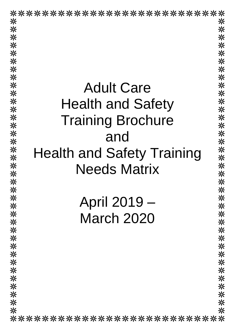| **************************                     | 米                   |
|------------------------------------------------|---------------------|
|                                                | 米                   |
|                                                |                     |
|                                                |                     |
|                                                |                     |
|                                                |                     |
|                                                |                     |
|                                                |                     |
| <b>Adult Care</b>                              |                     |
|                                                |                     |
| 米米米米米米米米米米米米米米米米米米<br><b>Health and Safety</b> | 米米米米米米米米米米米米米米米米米米米 |
| <b>Training Brochure</b>                       |                     |
|                                                |                     |
| and                                            |                     |
|                                                |                     |
| <b>Health and Safety Training</b>              |                     |
| <b>Needs Matrix</b>                            |                     |
| ※                                              |                     |
|                                                |                     |
|                                                |                     |
| April 2019 –                                   |                     |
| <b>March 2020</b>                              |                     |
|                                                |                     |
|                                                |                     |
|                                                |                     |
|                                                |                     |
|                                                |                     |
|                                                |                     |
| 米米米米米米米米米米米米米米                                 | ****************    |
|                                                |                     |
|                                                |                     |
| ※                                              |                     |
| ***************************                    |                     |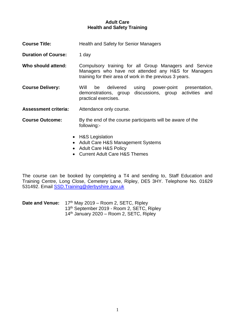**Course Title: Health and Safety for Senior Managers** 

**Duration of Course:** 1 day

- **Who should attend:** Compulsory training for all Group Managers and Service Managers who have not attended any H&S for Managers training for their area of work in the previous 3 years.
- **Course Delivery:** Will be delivered using power-point presentation, demonstrations, group discussions, group activities and practical exercises.

**Assessment criteria:** Attendance only course.

**Course Outcome:** By the end of the course participants will be aware of the following:-

- H&S Legislation
- Adult Care H&S Management Systems
- Adult Care H&S Policy
- Current Adult Care H&S Themes

The course can be booked by completing a T4 and sending to, Staff Education and Training Centre, Long Close, Cemetery Lane, Ripley, DE5 3HY. Telephone No. 01629 531492. Email [SSD.Training@derbyshire.gov.uk](mailto:SSD.Training@derbyshire.gov.uk)

| Date and Venue: | $17th$ May 2019 – Room 2, SETC, Ripley     |
|-----------------|--------------------------------------------|
|                 | 13th September 2019 - Room 2, SETC, Ripley |
|                 | 14th January 2020 – Room 2, SETC, Ripley   |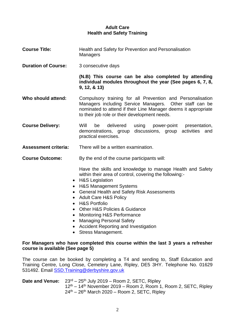**Course Title: Health and Safety for Prevention and Personalisation Managers Duration of Course:** 3 consecutive days **(N.B) This course can be also completed by attending individual modules throughout the year (See pages 6, 7, 8, 9, 12, & 13) Who should attend:** Compulsory training for all Prevention and Personalisation Managers including Service Managers. Other staff can be nominated to attend if their Line Manager deems it appropriate to their job role or their development needs. **Course Delivery:** Will be delivered using power-point presentation, demonstrations, group discussions, group activities and practical exercises. **Assessment criteria:** There will be a written examination. **Course Outcome:** By the end of the course participants will: Have the skills and knowledge to manage Health and Safety within their area of control, covering the following:- • H&S Legislation H&S Management Systems General Health and Safety Risk Assessments • Adult Care H&S Policy • H&S Portfolio Other H&S Policies & Guidance Monitoring H&S Performance • Managing Personal Safety Accident Reporting and Investigation • Stress Management.

#### **For Managers who have completed this course within the last 3 years a refresher course is available (See page 5)**

The course can be booked by completing a T4 and sending to, Staff Education and Training Centre, Long Close, Cemetery Lane, Ripley, DE5 3HY. Telephone No. 01629 531492. Email SSD. Training@derbyshire.gov.uk

Date and Venue: 23<sup>rd</sup> - 25<sup>th</sup> July 2019 - Room 2, SETC, Ripley 12<sup>th</sup> – 14<sup>th</sup> November 2019 – Room 2, Room 1, Room 2, SETC, Ripley 24<sup>th</sup> – 26<sup>th</sup> March 2020 – Room 2, SETC, Ripley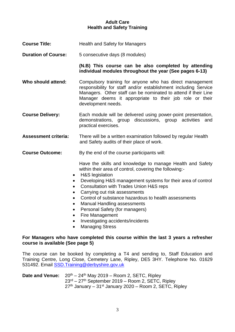- **Course Title:** Health and Safety for Managers **Duration of Course:** 5 consecutive days (8 modules) **(N.B) This course can be also completed by attending individual modules throughout the year (See pages 6-13) Who should attend:** Compulsory training for anyone who has direct management responsibility for staff and/or establishment including Service Managers. Other staff can be nominated to attend if their Line Manager deems it appropriate to their job role or their development needs. **Course Delivery:** Each module will be delivered using power-point presentation, demonstrations, group discussions, group activities and practical exercises. **Assessment criteria:** There will be a written examination followed by regular Health and Safety audits of their place of work. **Course Outcome:** By the end of the course participants will: Have the skills and knowledge to manage Health and Safety within their area of control, covering the following:- • H&S legislation Developing H&S management systems for their area of control Consultation with Trades Union H&S reps Carrying out risk assessments Control of substance hazardous to health assessments Manual Handling assessments • Personal Safety (for managers) • Fire Management
	- Investigating accidents/incidents
	- Managing Stress

#### **For Managers who have completed this course within the last 3 years a refresher course is available (See page 5)**

The course can be booked by completing a T4 and sending to, Staff Education and Training Centre, Long Close, Cemetery Lane, Ripley, DE5 3HY. Telephone No. 01629 531492. Email [SSD.Training@derbyshire.gov.uk](mailto:SSD.Training@derbyshire.gov.uk)

**Date and Venue:** <sup>th</sup> – 24<sup>th</sup> May 2019 – Room 2, SETC, Ripley 23<sup>rd</sup> – 27<sup>th</sup> September 2019 – Room 2, SETC, Ripley 27<sup>th</sup> January – 31<sup>st</sup> January 2020 – Room 2, SETC, Ripley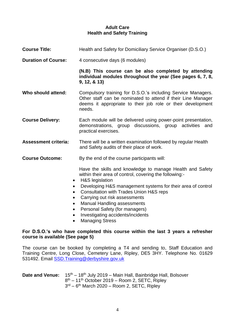| <b>Course Title:</b>        | Health and Safety for Domiciliary Service Organiser (D.S.O.)                                                                                                                                                                                                                                                                                                                                                                                                                                                                                |  |  |  |
|-----------------------------|---------------------------------------------------------------------------------------------------------------------------------------------------------------------------------------------------------------------------------------------------------------------------------------------------------------------------------------------------------------------------------------------------------------------------------------------------------------------------------------------------------------------------------------------|--|--|--|
| <b>Duration of Course:</b>  | 4 consecutive days (6 modules)                                                                                                                                                                                                                                                                                                                                                                                                                                                                                                              |  |  |  |
|                             | (N.B) This course can be also completed by attending<br>individual modules throughout the year (See pages 6, 7, 8,<br>9, 12, 8, 13                                                                                                                                                                                                                                                                                                                                                                                                          |  |  |  |
| Who should attend:          | Compulsory training for D.S.O.'s including Service Managers.<br>Other staff can be nominated to attend if their Line Manager<br>deems it appropriate to their job role or their development<br>needs.                                                                                                                                                                                                                                                                                                                                       |  |  |  |
| <b>Course Delivery:</b>     | Each module will be delivered using power-point presentation,<br>demonstrations, group discussions, group activities and<br>practical exercises.                                                                                                                                                                                                                                                                                                                                                                                            |  |  |  |
| <b>Assessment criteria:</b> | There will be a written examination followed by regular Health<br>and Safety audits of their place of work.                                                                                                                                                                                                                                                                                                                                                                                                                                 |  |  |  |
| <b>Course Outcome:</b>      | By the end of the course participants will:                                                                                                                                                                                                                                                                                                                                                                                                                                                                                                 |  |  |  |
|                             | Have the skills and knowledge to manage Health and Safety<br>within their area of control, covering the following:-<br>H&S legislation<br>$\bullet$<br>Developing H&S management systems for their area of control<br>$\bullet$<br><b>Consultation with Trades Union H&amp;S reps</b><br>$\bullet$<br>Carrying out risk assessments<br>$\bullet$<br><b>Manual Handling assessments</b><br>$\bullet$<br>Personal Safety (for managers)<br>$\bullet$<br>Investigating accidents/incidents<br>$\bullet$<br><b>Managing Stress</b><br>$\bullet$ |  |  |  |

#### **For D.S.O.'s who have completed this course within the last 3 years a refresher course is available (See page 5)**

The course can be booked by completing a T4 and sending to, Staff Education and Training Centre, Long Close, Cemetery Lane, Ripley, DE5 3HY. Telephone No. 01629 531492. Email [SSD.Training@derbyshire.gov.uk](mailto:SSD.Training@derbyshire.gov.uk)

# **Date and Venue:** 15<sup>th</sup> – 18<sup>th</sup> July 2019 – Main Hall, Bainbridge Hall, Bolsover 8<sup>th</sup> – 11<sup>th</sup> October 2019 – Room 2, SETC, Ripley 3<sup>rd</sup> – 6<sup>th</sup> March 2020 – Room 2, SETC, Ripley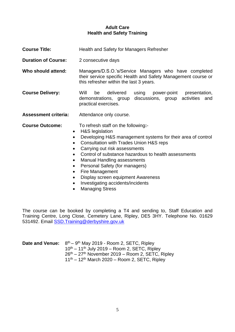| <b>Course Title:</b>        | Health and Safety for Managers Refresher                                                                                                                                                                                                                                                                                                                                                                                                                  |  |  |  |  |  |
|-----------------------------|-----------------------------------------------------------------------------------------------------------------------------------------------------------------------------------------------------------------------------------------------------------------------------------------------------------------------------------------------------------------------------------------------------------------------------------------------------------|--|--|--|--|--|
| <b>Duration of Course:</b>  | 2 consecutive days                                                                                                                                                                                                                                                                                                                                                                                                                                        |  |  |  |  |  |
| Who should attend:          | Managers/D.S.O.'s/Service Managers who have completed<br>their service specific Health and Safety Management course or<br>this refresher within the last 3 years.                                                                                                                                                                                                                                                                                         |  |  |  |  |  |
| <b>Course Delivery:</b>     | Will<br>delivered<br>using power-point<br>be<br>presentation,<br>activities<br>demonstrations, group<br>discussions, group<br>and<br>practical exercises.                                                                                                                                                                                                                                                                                                 |  |  |  |  |  |
| <b>Assessment criteria:</b> | Attendance only course.                                                                                                                                                                                                                                                                                                                                                                                                                                   |  |  |  |  |  |
| <b>Course Outcome:</b>      | To refresh staff on the following:-<br>H&S legislation<br>Developing H&S management systems for their area of control<br>Consultation with Trades Union H&S reps<br>Carrying out risk assessments<br>Control of substance hazardous to health assessments<br><b>Manual Handling assessments</b><br>Personal Safety (for managers)<br>Fire Management<br>Display screen equipment Awareness<br>Investigating accidents/incidents<br><b>Managing Stress</b> |  |  |  |  |  |

The course can be booked by completing a T4 and sending to, Staff Education and Training Centre, Long Close, Cemetery Lane, Ripley, DE5 3HY. Telephone No. 01629 531492. Email **SSD.Training@derbyshire.gov.uk** 

| Date and Venue: | $8th - 9th$ May 2019 - Room 2, SETC, Ripley                   |  |  |  |  |  |
|-----------------|---------------------------------------------------------------|--|--|--|--|--|
|                 | $10^{th}$ – 11 <sup>th</sup> July 2019 – Room 2, SETC, Ripley |  |  |  |  |  |
|                 | $26th - 27th$ November 2019 – Room 2, SETC, Ripley            |  |  |  |  |  |
|                 | $11th - 12th$ March 2020 – Room 2, SETC, Ripley               |  |  |  |  |  |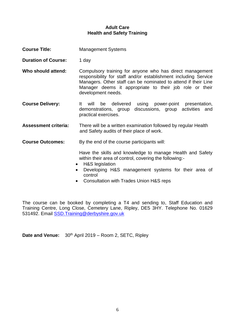- **Course Title:** Management Systems
- **Duration of Course:** 1 day
- **Who should attend:** Compulsory training for anyone who has direct management responsibility for staff and/or establishment including Service Managers. Other staff can be nominated to attend if their Line Manager deems it appropriate to their job role or their development needs.
- **Course Delivery:** It will be delivered using power-point presentation, demonstrations, group discussions, group activities and practical exercises.

**Assessment criteria:** There will be a written examination followed by regular Health and Safety audits of their place of work.

**Course Outcomes:** By the end of the course participants will:

Have the skills and knowledge to manage Health and Safety within their area of control, covering the following:-

- H&S legislation
- Developing H&S management systems for their area of control
- Consultation with Trades Union H&S reps

The course can be booked by completing a T4 and sending to, Staff Education and Training Centre, Long Close, Cemetery Lane, Ripley, DE5 3HY. Telephone No. 01629 531492. Email [SSD.Training@derbyshire.gov.uk](mailto:SSD.Training@derbyshire.gov.uk)

**Date and Venue:** 30<sup>th</sup> April 2019 – Room 2, SETC, Ripley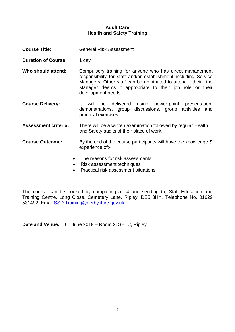- **Course Title:** General Risk Assessment
- **Duration of Course:** 1 day
- **Who should attend:** Compulsory training for anyone who has direct management responsibility for staff and/or establishment including Service Managers. Other staff can be nominated to attend if their Line Manager deems it appropriate to their job role or their development needs.
- **Course Delivery:** It will be delivered using power-point presentation, demonstrations, group discussions, group activities and practical exercises.

**Assessment criteria:** There will be a written examination followed by regular Health and Safety audits of their place of work.

# **Course Outcome:** By the end of the course participants will have the knowledge & experience of:-

- The reasons for risk assessments.
- Risk assessment techniques
- Practical risk assessment situations.

The course can be booked by completing a T4 and sending to, Staff Education and Training Centre, Long Close, Cemetery Lane, Ripley, DE5 3HY. Telephone No. 01629 531492. Email [SSD.Training@derbyshire.gov.uk](mailto:SSD.Training@derbyshire.gov.uk)

Date and Venue: 6<sup>th</sup> June 2019 - Room 2, SETC, Ripley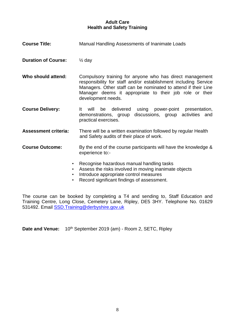| <b>Course Title:</b>        | Manual Handling Assessments of Inanimate Loads                                                                                                                                                                                                                                 |  |  |  |  |
|-----------------------------|--------------------------------------------------------------------------------------------------------------------------------------------------------------------------------------------------------------------------------------------------------------------------------|--|--|--|--|
| <b>Duration of Course:</b>  | $\frac{1}{2}$ day                                                                                                                                                                                                                                                              |  |  |  |  |
| Who should attend:          | Compulsory training for anyone who has direct management<br>responsibility for staff and/or establishment including Service<br>Managers. Other staff can be nominated to attend if their Line<br>Manager deems it appropriate to their job role or their<br>development needs. |  |  |  |  |
| <b>Course Delivery:</b>     | be delivered<br>using power-point presentation,<br>will<br>lt.<br>discussions, group activities and<br>demonstrations, group<br>practical exercises.                                                                                                                           |  |  |  |  |
| <b>Assessment criteria:</b> | There will be a written examination followed by regular Health<br>and Safety audits of their place of work.                                                                                                                                                                    |  |  |  |  |
| <b>Course Outcome:</b>      | By the end of the course participants will have the knowledge &<br>experience to:-                                                                                                                                                                                             |  |  |  |  |
|                             | Recognise hazardous manual handling tasks                                                                                                                                                                                                                                      |  |  |  |  |

- Assess the risks involved in moving inanimate objects
- Introduce appropriate control measures
- Record significant findings of assessment.

The course can be booked by completing a T4 and sending to, Staff Education and Training Centre, Long Close, Cemetery Lane, Ripley, DE5 3HY. Telephone No. 01629 531492. Email [SSD.Training@derbyshire.gov.uk](mailto:SSD.Training@derbyshire.gov.uk)

Date and Venue: 10<sup>th</sup> September 2019 (am) - Room 2, SETC, Ripley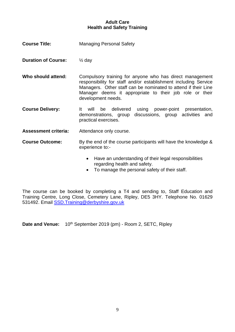- **Course Title:** Managing Personal Safety **Duration of Course:** ½ day **Who should attend:** Compulsory training for anyone who has direct management
- responsibility for staff and/or establishment including Service Managers. Other staff can be nominated to attend if their Line Manager deems it appropriate to their job role or their development needs.
- **Course Delivery:** It will be delivered using power-point presentation, demonstrations, group discussions, group activities and practical exercises.
- **Assessment criteria:** Attendance only course.
- **Course Outcome:** By the end of the course participants will have the knowledge & experience to:-
	- Have an understanding of their legal responsibilities regarding health and safety.
	- To manage the personal safety of their staff.

The course can be booked by completing a T4 and sending to, Staff Education and Training Centre, Long Close, Cemetery Lane, Ripley, DE5 3HY. Telephone No. 01629 531492. Email SSD. Training@derbyshire.gov.uk

**Date and Venue:** 10<sup>th</sup> September 2019 (pm) - Room 2, SETC, Ripley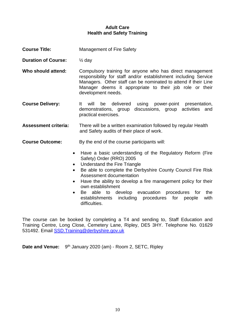- **Course Title:** Management of Fire Safety
- **Duration of Course:** ½ day
- **Who should attend:** Compulsory training for anyone who has direct management responsibility for staff and/or establishment including Service Managers. Other staff can be nominated to attend if their Line Manager deems it appropriate to their job role or their development needs.
- **Course Delivery:** It will be delivered using power-point presentation, demonstrations, group discussions, group activities and practical exercises.
- **Assessment criteria:** There will be a written examination followed by regular Health and Safety audits of their place of work.
- **Course Outcome:** By the end of the course participants will:
	- Have a basic understanding of the Regulatory Reform (Fire Safety) Order (RRO) 2005
	- Understand the Fire Triangle
	- Be able to complete the Derbyshire County Council Fire Risk Assessment documentation
	- Have the ability to develop a fire management policy for their own establishment
	- Be able to develop evacuation procedures for the establishments including procedures for people with difficulties.

The course can be booked by completing a T4 and sending to, Staff Education and Training Centre, Long Close, Cemetery Lane, Ripley, DE5 3HY. Telephone No. 01629 531492. Email [SSD.Training@derbyshire.gov.uk](mailto:SSD.Training@derbyshire.gov.uk)

**Date and Venue:** 9<sup>th</sup> January 2020 (am) - Room 2, SETC, Ripley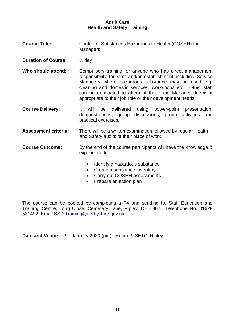- **Course Title:** Control of Substances Hazardous to Health (COSHH) for Managers
- **Duration of Course:** ½ day
- **Who should attend:** Compulsory training for anyone who has direct management responsibility for staff and/or establishment including Service Managers where hazardous substance may be used e.g. cleaning and domestic services, workshops etc. Other staff can be nominated to attend if their Line Manager deems it appropriate to their job role or their development needs.
- **Course Delivery:** It will be delivered using power-point presentation, demonstrations, group discussions, group activities and practical exercises.
- **Assessment criteria:** There will be a written examination followed by regular Health and Safety audits of their place of work.
- **Course Outcome:** By the end of the course participants will have the knowledge & experience to:-
	- Identify a hazardous substance
	- Create a substance inventory
	- Carry out COSHH assessments
	- Prepare an action plan

The course can be booked by completing a T4 and sending to, Staff Education and Training Centre, Long Close, Cemetery Lane, Ripley, DE5 3HY. Telephone No. 01629 531492. Email [SSD.Training@derbyshire.gov.uk](mailto:SSD.Training@derbyshire.gov.uk)

Date and Venue: 9<sup>th</sup> January 2020 (pm) - Room 2, SETC, Ripley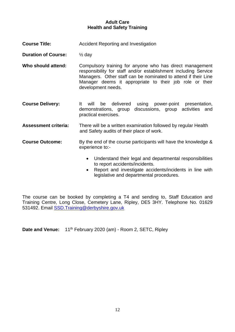**Course Title:** Accident Reporting and Investigation

**Duration of Course:** ½ day

- **Who should attend:** Compulsory training for anyone who has direct management responsibility for staff and/or establishment including Service Managers. Other staff can be nominated to attend if their Line Manager deems it appropriate to their job role or their development needs.
- **Course Delivery:** It will be delivered using power-point presentation, demonstrations, group discussions, group activities and practical exercises.

**Assessment criteria:** There will be a written examination followed by regular Health and Safety audits of their place of work.

- **Course Outcome:** By the end of the course participants will have the knowledge & experience to:-
	- Understand their legal and departmental responsibilities to report accidents/incidents.
	- Report and investigate accidents/incidents in line with legislative and departmental procedures.

The course can be booked by completing a T4 and sending to, Staff Education and Training Centre, Long Close, Cemetery Lane, Ripley, DE5 3HY. Telephone No. 01629 531492. Email [SSD.Training@derbyshire.gov.uk](mailto:SSD.Training@derbyshire.gov.uk)

Date and Venue: 11<sup>th</sup> February 2020 (am) - Room 2, SETC, Ripley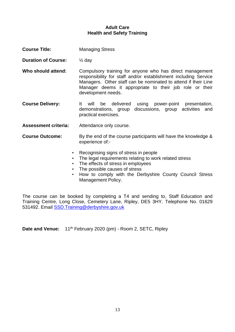- **Course Title:** Managing Stress
- **Duration of Course:** ½ day
- **Who should attend:** Compulsory training for anyone who has direct management responsibility for staff and/or establishment including Service Managers. Other staff can be nominated to attend if their Line Manager deems it appropriate to their job role or their development needs.
- **Course Delivery:** It will be delivered using power-point presentation, demonstrations, group discussions, group activities and practical exercises.
- **Assessment criteria:** Attendance only course.
- **Course Outcome:** By the end of the course participants will have the knowledge & experience of:-
	- Recognising signs of stress in people
	- The legal requirements relating to work related stress
	- The effects of stress in employees
	- The possible causes of stress
	- How to comply with the Derbyshire County Council Stress Management Policy.

The course can be booked by completing a T4 and sending to, Staff Education and Training Centre, Long Close, Cemetery Lane, Ripley, DE5 3HY. Telephone No. 01629 531492. Email [SSD.Training@derbyshire.gov.uk](mailto:SSD.Training@derbyshire.gov.uk)

Date and Venue: 11<sup>th</sup> February 2020 (pm) - Room 2, SETC, Ripley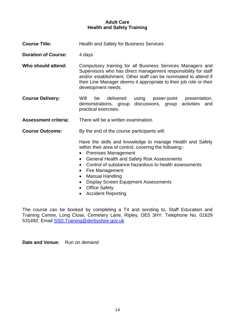**Course Title: Health and Safety for Business Services** 

**Duration of Course:** 4 days

**Who should attend:** Compulsory training for all Business Services Managers and Supervisors who has direct management responsibility for staff and/or establishment. Other staff can be nominated to attend if their Line Manager deems it appropriate to their job role or their development needs.

**Course Delivery:** Will be delivered using power-point presentation, demonstrations, group discussions, group activities and practical exercises.

**Assessment criteria:** There will be a written examination.

**Course Outcome:** By the end of the course participants will:

Have the skills and knowledge to manage Health and Safety within their area of control, covering the following:-

- Premises Management
- General Health and Safety Risk Assessments
- Control of substance hazardous to health assessments
- Fire Management
- Manual Handling
- Display Screen Equipment Assessments
- Office Safety
- Accident Reporting

The course can be booked by completing a T4 and sending to, Staff Education and Training Centre, Long Close, Cemetery Lane, Ripley, DE5 3HY. Telephone No. 01629 531492. Email [SSD.Training@derbyshire.gov.uk](mailto:SSD.Training@derbyshire.gov.uk)

**Date and Venue:** Run on demand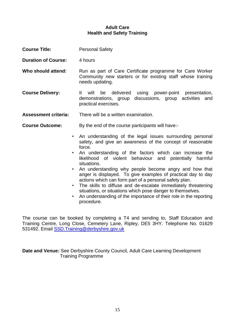- **Course Title:** Personal Safety
- **Duration of Course:** 4 hours
- **Who should attend:** Run as part of Care Certificate programme for Care Worker Community new starters or for existing staff whose training needs updating.
- **Course Delivery:** It will be delivered using power-point presentation, demonstrations, group discussions, group activities and practical exercises.
- **Assessment criteria:** There will be a written examination.
- **Course Outcome:** By the end of the course participants will have:-
	- An understanding of the legal issues surrounding personal safety, and give an awareness of the concept of reasonable force.
	- An understanding of the factors which can increase the likelihood of violent behaviour and potentially harmful situations.
	- An understanding why people become angry and how that anger is displayed. To give examples of practical day to day actions which can form part of a personal safety plan.
	- The skills to diffuse and de-escalate immediately threatening situations, or situations which pose danger to themselves.
	- An understanding of the importance of their role in the reporting procedure.

The course can be booked by completing a T4 and sending to, Staff Education and Training Centre, Long Close, Cemetery Lane, Ripley, DE5 3HY. Telephone No. 01629 531492. Email [SSD.Training@derbyshire.gov.uk](mailto:SSD.Training@derbyshire.gov.uk)

**Date and Venue:** See Derbyshire County Council, Adult Care Learning Development Training Programme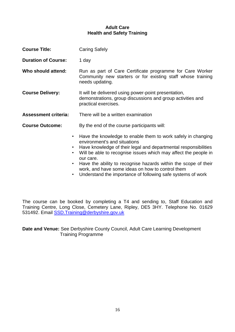| <b>Course Title:</b>                | <b>Caring Safely</b>                                                                                                                                                                                                                                                                                              |
|-------------------------------------|-------------------------------------------------------------------------------------------------------------------------------------------------------------------------------------------------------------------------------------------------------------------------------------------------------------------|
| <b>Duration of Course:</b>          | 1 day                                                                                                                                                                                                                                                                                                             |
| Who should attend:                  | Run as part of Care Certificate programme for Care Worker<br>Community new starters or for existing staff whose training<br>needs updating.                                                                                                                                                                       |
| <b>Course Delivery:</b>             | It will be delivered using power-point presentation,<br>demonstrations, group discussions and group activities and<br>practical exercises.                                                                                                                                                                        |
| <b>Assessment criteria:</b>         | There will be a written examination                                                                                                                                                                                                                                                                               |
| <b>Course Outcome:</b>              | By the end of the course participants will:                                                                                                                                                                                                                                                                       |
| $\bullet$<br>$\bullet$<br>$\bullet$ | Have the knowledge to enable them to work safely in changing<br>environment's and situations<br>Have knowledge of their legal and departmental responsibilities<br>Will be able to recognise issues which may affect the people in<br>our care.<br>Houghtha objitu to recession because within the cease of their |

- Have the ability to recognise hazards within the scope of their work, and have some ideas on how to control them
- Understand the importance of following safe systems of work

The course can be booked by completing a T4 and sending to, Staff Education and Training Centre, Long Close, Cemetery Lane, Ripley, DE5 3HY. Telephone No. 01629 531492. Email [SSD.Training@derbyshire.gov.uk](mailto:SSD.Training@derbyshire.gov.uk)

**Date and Venue:** See Derbyshire County Council, Adult Care Learning Development Training Programme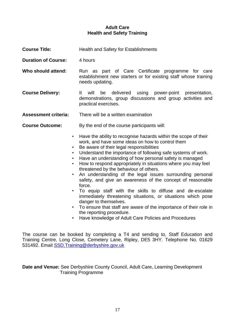- **Course Title:** Health and Safety for Establishments **Duration of Course:** 4 hours **Who should attend:** Run as part of Care Certificate programme for care establishment new starters or for existing staff whose training needs updating. **Course Delivery:** It will be delivered using power-point presentation, demonstrations, group discussions and group activities and practical exercises. **Assessment criteria:** There will be a written examination **Course Outcome:** By the end of the course participants will: • Have the ability to recognise hazards within the scope of their work, and have some ideas on how to control them • Be aware of their legal responsibilities • Understand the importance of following safe systems of work. • Have an understanding of how personal safety is managed • How to respond appropriately in situations where you may feel threatened by the behaviour of others. • An understanding of the legal issues surrounding personal safety, and give an awareness of the concept of reasonable force. • To equip staff with the skills to diffuse and de-escalate immediately threatening situations, or situations which pose danger to themselves.
	- To ensure that staff are aware of the importance of their role in the reporting procedure.
	- Have knowledge of Adult Care Policies and Procedures

The course can be booked by completing a T4 and sending to, Staff Education and Training Centre, Long Close, Cemetery Lane, Ripley, DE5 3HY. Telephone No. 01629 531492. Email [SSD.Training@derbyshire.gov.uk](mailto:SSD.Training@derbyshire.gov.uk)

**Date and Venue:** See Derbyshire County Council, Adult Care, Learning Development Training Programme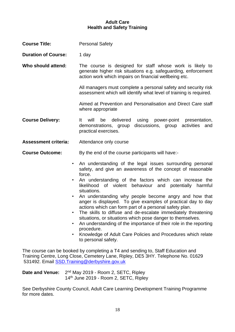**Course Title:** Personal Safety

**Duration of Course:** 1 day

**Who should attend:** The course is designed for staff whose work is likely to generate higher risk situations e.g. safeguarding, enforcement action work which impairs on financial wellbeing etc.

> All managers must complete a personal safety and security risk assessment which will identify what level of training is required.

> Aimed at Prevention and Personalisation and Direct Care staff where appropriate

- **Course Delivery:** It will be delivered using power-point presentation, demonstrations, group discussions, group activities and practical exercises.
- **Assessment criteria:** Attendance only course

**Course Outcome:** By the end of the course participants will have:-

- An understanding of the legal issues surrounding personal safety, and give an awareness of the concept of reasonable force.
- An understanding of the factors which can increase the likelihood of violent behaviour and potentially harmful situations.
- An understanding why people become angry and how that anger is displayed. To give examples of practical day to day actions which can form part of a personal safety plan.
- The skills to diffuse and de-escalate immediately threatening situations, or situations which pose danger to themselves.
- An understanding of the importance of their role in the reporting procedure.
- Knowledge of Adult Care Policies and Procedures which relate to personal safety.

The course can be booked by completing a T4 and sending to, Staff Education and Training Centre, Long Close, Cemetery Lane, Ripley, DE5 3HY. Telephone No. 01629 531492. Email [SSD.Training@derbyshire.gov.uk](mailto:SSD.Training@derbyshire.gov.uk)

| <b>Date and Venue:</b> 2 <sup>nd</sup> May 2019 - Room 2, SETC, Ripley |
|------------------------------------------------------------------------|
| 14th June 2019 - Room 2, SETC, Ripley                                  |

See Derbyshire County Council, Adult Care Learning Development Training Programme for more dates.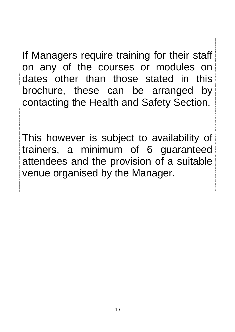If Managers require training for their staff on any of the courses or modules on dates other than those stated in this brochure, these can be arranged by contacting the Health and Safety Section.

This however is subject to availability of trainers, a minimum of 6 guaranteed attendees and the provision of a suitable venue organised by the Manager.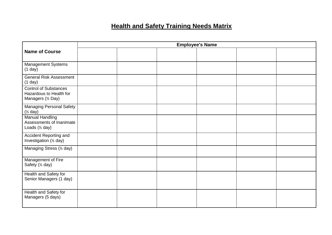# **Health and Safety Training Needs Matrix**

|                                                                               | <b>Employee's Name</b> |  |  |  |  |  |
|-------------------------------------------------------------------------------|------------------------|--|--|--|--|--|
| <b>Name of Course</b>                                                         |                        |  |  |  |  |  |
| <b>Management Systems</b><br>(1 day)                                          |                        |  |  |  |  |  |
| <b>General Risk Assessment</b><br>(1 day)                                     |                        |  |  |  |  |  |
| <b>Control of Substances</b><br>Hazardous to Health for<br>Managers (1/2 Day) |                        |  |  |  |  |  |
| <b>Managing Personal Safety</b><br>$(\frac{1}{2}$ day)                        |                        |  |  |  |  |  |
| <b>Manual Handling</b><br>Assessments of Inanimate<br>Loads $($ 2) day)       |                        |  |  |  |  |  |
| Accident Reporting and<br>Investigation (1/2 day)                             |                        |  |  |  |  |  |
| Managing Stress (1/2 day)                                                     |                        |  |  |  |  |  |
| Management of Fire<br>Safety (1/2 day)                                        |                        |  |  |  |  |  |
| Health and Safety for<br>Senior Managers (1 day)                              |                        |  |  |  |  |  |
| Health and Safety for<br>Managers (5 days)                                    |                        |  |  |  |  |  |